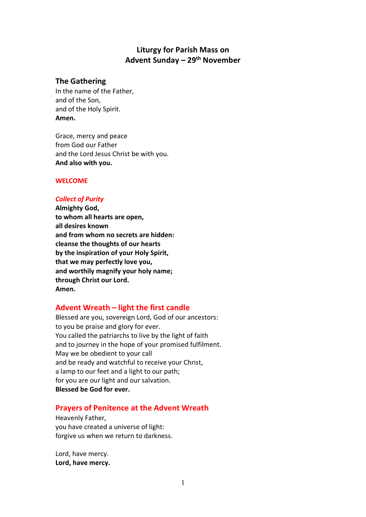# **Liturgy for Parish Mass on Advent Sunday – 29th November**

# **The Gathering**

In the name of the Father, and of the Son, and of the Holy Spirit. **Amen.**

Grace, mercy and peace from God our Father and the Lord Jesus Christ be with you. **And also with you.**

## **WELCOME**

# *Collect of Purity*

**Almighty God, to whom all hearts are open, all desires known and from whom no secrets are hidden: cleanse the thoughts of our hearts by the inspiration of your Holy Spirit, that we may perfectly love you, and worthily magnify your holy name; through Christ our Lord. Amen.** 

# **Advent Wreath – light the first candle**

Blessed are you, sovereign Lord, God of our ancestors: to you be praise and glory for ever. You called the patriarchs to live by the light of faith and to journey in the hope of your promised fulfilment. May we be obedient to your call and be ready and watchful to receive your Christ, a lamp to our feet and a light to our path; for you are our light and our salvation. **Blessed be God for ever.**

# **Prayers of Penitence at the Advent Wreath**

Heavenly Father, you have created a universe of light: forgive us when we return to darkness.

Lord, have mercy. **Lord, have mercy.**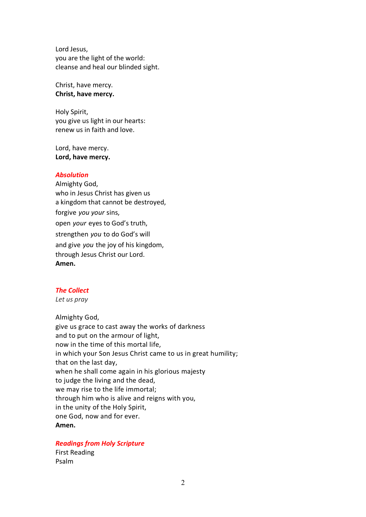Lord Jesus, you are the light of the world: cleanse and heal our blinded sight.

Christ, have mercy. **Christ, have mercy.**

Holy Spirit, you give us light in our hearts: renew us in faith and love.

Lord, have mercy. **Lord, have mercy.**

### *Absolution*

Almighty God, who in Jesus Christ has given us a kingdom that cannot be destroyed, forgive *you your* sins, open *your* eyes to God's truth, strengthen *you* to do God's will and give *you* the joy of his kingdom, through Jesus Christ our Lord. **Amen.**

### *The Collect*

*Let us pray*

Almighty God, give us grace to cast away the works of darkness and to put on the armour of light, now in the time of this mortal life, in which your Son Jesus Christ came to us in great humility; that on the last day, when he shall come again in his glorious majesty to judge the living and the dead, we may rise to the life immortal; through him who is alive and reigns with you, in the unity of the Holy Spirit, one God, now and for ever. **Amen.**

### *Readings from Holy Scripture*

First Reading Psalm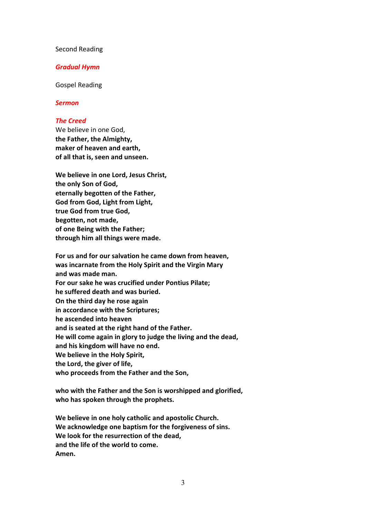### Second Reading

### *Gradual Hymn*

Gospel Reading

### *Sermon*

### *The Creed*

We believe in one God, **the Father, the Almighty, maker of heaven and earth, of all that is, seen and unseen.**

**We believe in one Lord, Jesus Christ, the only Son of God, eternally begotten of the Father, God from God, Light from Light, true God from true God, begotten, not made, of one Being with the Father; through him all things were made.**

**For us and for our salvation he came down from heaven, was incarnate from the Holy Spirit and the Virgin Mary and was made man. For our sake he was crucified under Pontius Pilate; he suffered death and was buried. On the third day he rose again in accordance with the Scriptures; he ascended into heaven and is seated at the right hand of the Father. He will come again in glory to judge the living and the dead, and his kingdom will have no end. We believe in the Holy Spirit, the Lord, the giver of life, who proceeds from the Father and the Son,** 

**who with the Father and the Son is worshipped and glorified, who has spoken through the prophets.**

**We believe in one holy catholic and apostolic Church. We acknowledge one baptism for the forgiveness of sins. We look for the resurrection of the dead, and the life of the world to come. Amen.**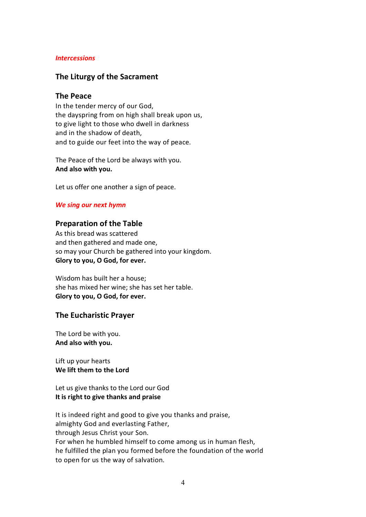### *Intercessions*

## **The Liturgy of the Sacrament**

### **The Peace**

In the tender mercy of our God, the dayspring from on high shall break upon us, to give light to those who dwell in darkness and in the shadow of death, and to guide our feet into the way of peace.

The Peace of the Lord be always with you. **And also with you.**

Let us offer one another a sign of peace.

### *We sing our next hymn*

### **Preparation of the Table**

As this bread was scattered and then gathered and made one, so may your Church be gathered into your kingdom. **Glory to you, O God, for ever.**

Wisdom has built her a house; she has mixed her wine; she has set her table. **Glory to you, O God, for ever.**

### **The Eucharistic Prayer**

The Lord be with you. **And also with you.**

Lift up your hearts **We lift them to the Lord**

Let us give thanks to the Lord our God **It is right to give thanks and praise**

It is indeed right and good to give you thanks and praise, almighty God and everlasting Father, through Jesus Christ your Son. For when he humbled himself to come among us in human flesh, he fulfilled the plan you formed before the foundation of the world to open for us the way of salvation.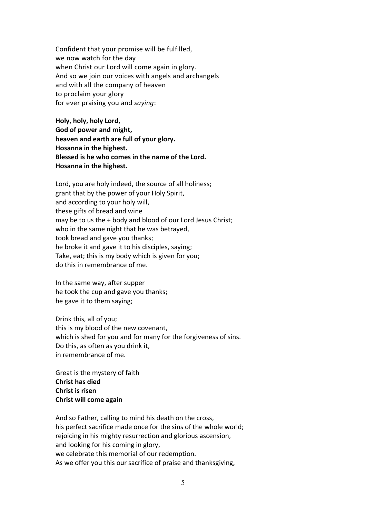Confident that your promise will be fulfilled, we now watch for the day when Christ our Lord will come again in glory. And so we join our voices with angels and archangels and with all the company of heaven to proclaim your glory for ever praising you and *saying*:

**Holy, holy, holy Lord, God of power and might, heaven and earth are full of your glory. Hosanna in the highest. Blessed is he who comes in the name of the Lord. Hosanna in the highest.**

Lord, you are holy indeed, the source of all holiness; grant that by the power of your Holy Spirit, and according to your holy will, these gifts of bread and wine may be to us the + body and blood of our Lord Jesus Christ; who in the same night that he was betrayed, took bread and gave you thanks; he broke it and gave it to his disciples, saying; Take, eat; this is my body which is given for you; do this in remembrance of me.

In the same way, after supper he took the cup and gave you thanks; he gave it to them saying;

Drink this, all of you; this is my blood of the new covenant, which is shed for you and for many for the forgiveness of sins. Do this, as often as you drink it, in remembrance of me.

Great is the mystery of faith **Christ has died Christ is risen Christ will come again**

And so Father, calling to mind his death on the cross, his perfect sacrifice made once for the sins of the whole world; rejoicing in his mighty resurrection and glorious ascension, and looking for his coming in glory, we celebrate this memorial of our redemption. As we offer you this our sacrifice of praise and thanksgiving,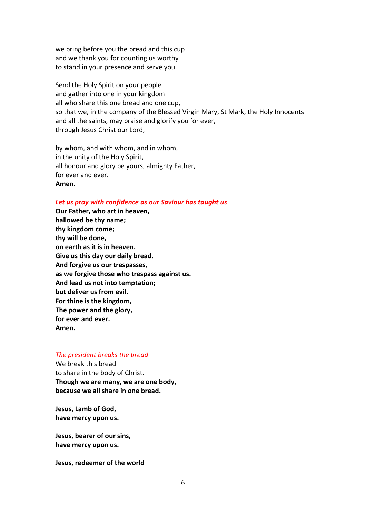we bring before you the bread and this cup and we thank you for counting us worthy to stand in your presence and serve you.

Send the Holy Spirit on your people and gather into one in your kingdom all who share this one bread and one cup, so that we, in the company of the Blessed Virgin Mary, St Mark, the Holy Innocents and all the saints, may praise and glorify you for ever, through Jesus Christ our Lord,

by whom, and with whom, and in whom, in the unity of the Holy Spirit, all honour and glory be yours, almighty Father, for ever and ever. **Amen.**

### *Let us pray with confidence as our Saviour has taught us*

**Our Father, who art in heaven, hallowed be thy name; thy kingdom come; thy will be done, on earth as it is in heaven. Give us this day our daily bread. And forgive us our trespasses, as we forgive those who trespass against us. And lead us not into temptation; but deliver us from evil. For thine is the kingdom, The power and the glory, for ever and ever. Amen.**

#### *The president breaks the bread*

We break this bread to share in the body of Christ. **Though we are many, we are one body, because we all share in one bread.**

**Jesus, Lamb of God, have mercy upon us.**

**Jesus, bearer of our sins, have mercy upon us.**

**Jesus, redeemer of the world**